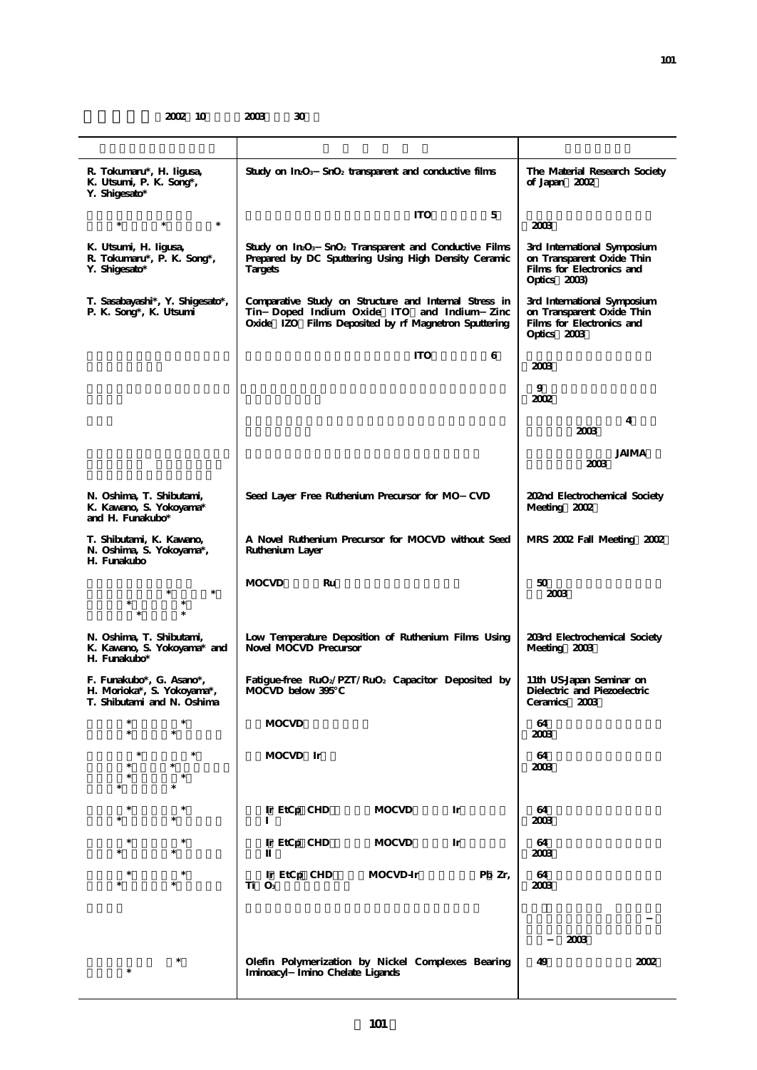| R. Tokumaru*, H. Iigusa,<br>K. Utsumi, P. K. Song*,<br>Y. Shigesato*                 | Study on $InO3$ SnO <sub>2</sub> transparent and conductive films                                                                                           | The Material Research Society<br>of Japan 2002                                                        |
|--------------------------------------------------------------------------------------|-------------------------------------------------------------------------------------------------------------------------------------------------------------|-------------------------------------------------------------------------------------------------------|
| $\ast$<br>$\ast$<br>$\ast$                                                           | <b>ITO</b><br>5                                                                                                                                             | 2003                                                                                                  |
| K. Utsumi, H. Iigusa,<br>R. Tokumaru*, P. K. Song*,<br>Y. Shigesato*                 | Study on $In\Omega_3$ Sn $O_2$ Transparent and Conductive Films<br>Prepared by DC Sputtering Using High Density Ceramic<br>Targets                          | 3rd International Symposium<br>on Transparent Oxide Thin<br>Films for Electronics and<br>Optics 2003) |
| T. Sasabayashi*, Y. Shigesato*,<br>P. K. Song*, K. Utsumi                            | Comparative Study on Structure and Internal Stress in<br>Tin Doped Indium Oxide ITO and Indium Zinc<br>Oxide IZO Films Deposited by rf Magnetron Sputtering | 3rd International Symposium<br>on Transparent Oxide Thin<br>Films for Electronics and<br>Optics 2003  |
|                                                                                      | <b>ITO</b><br>6                                                                                                                                             | 2003                                                                                                  |
|                                                                                      |                                                                                                                                                             | 9<br>2002                                                                                             |
|                                                                                      |                                                                                                                                                             | 4<br>2003                                                                                             |
|                                                                                      |                                                                                                                                                             | <b>JAIMA</b><br>2003                                                                                  |
| N. Oshima, T. Shibutami,<br>K. Kawano, S. Yokoyama*<br>and H. Funakubo*              | Seed Layer Free Ruthenium Precursor for MO CVD                                                                                                              | 202nd Electrochemical Society<br>Meeting 2002                                                         |
| T. Shibutami, K. Kawano,<br>N. Oshima, S. Yokoyama*,<br>H. Funakubo                  | A Novel Ruthenium Precursor for MOCVD without Seed<br>Ruthenium Layer                                                                                       | MRS 2002 Fall Meeting 2002                                                                            |
|                                                                                      | <b>MOCVD</b><br>Ru                                                                                                                                          | 50<br>2003                                                                                            |
| N. Oshima, T. Shibutami,<br>K. Kawano, S. Yokoyama* and<br>H. Funakubo*              | Low Temperature Deposition of Ruthenium Films Using<br>Novel MOCVD Precursor                                                                                | 203rd Electrochemical Society<br>Meeting 2003                                                         |
| F. Funakubo*, G. Asano*,<br>H. Morioka*, S. Yokoyama*,<br>T. Shibutami and N. Oshima | Fatigue-free $RuO_2/PZT/RuO_2$ Capacitor Deposited by<br>MOCVD below 395                                                                                    | 11th US-Japan Seminar on<br>Dielectric and Piezoelectric<br>Ceramics 2003                             |
|                                                                                      | <b>MOCVD</b>                                                                                                                                                | 64<br>2003                                                                                            |
|                                                                                      | MOCVD Ir                                                                                                                                                    | 64<br>2003                                                                                            |
|                                                                                      | Ir EtCp CHD<br><b>MOCVD</b><br>Ir                                                                                                                           | 64                                                                                                    |
|                                                                                      |                                                                                                                                                             | 2003                                                                                                  |
|                                                                                      | Ir EtCp CHD<br><b>MOCVD</b><br>Ir                                                                                                                           | 64<br>2003                                                                                            |
|                                                                                      | Ir EtCp CHD<br>MOCVD-Ir<br>Pb Zr,<br>Ti O <sub>3</sub>                                                                                                      | 64<br>2003                                                                                            |
|                                                                                      |                                                                                                                                                             | 2003                                                                                                  |
|                                                                                      | Olefin Polymerization by Nickel Complexes Bearing<br>Iminoacyl Imino Chelate Ligands                                                                        | 2002<br>49                                                                                            |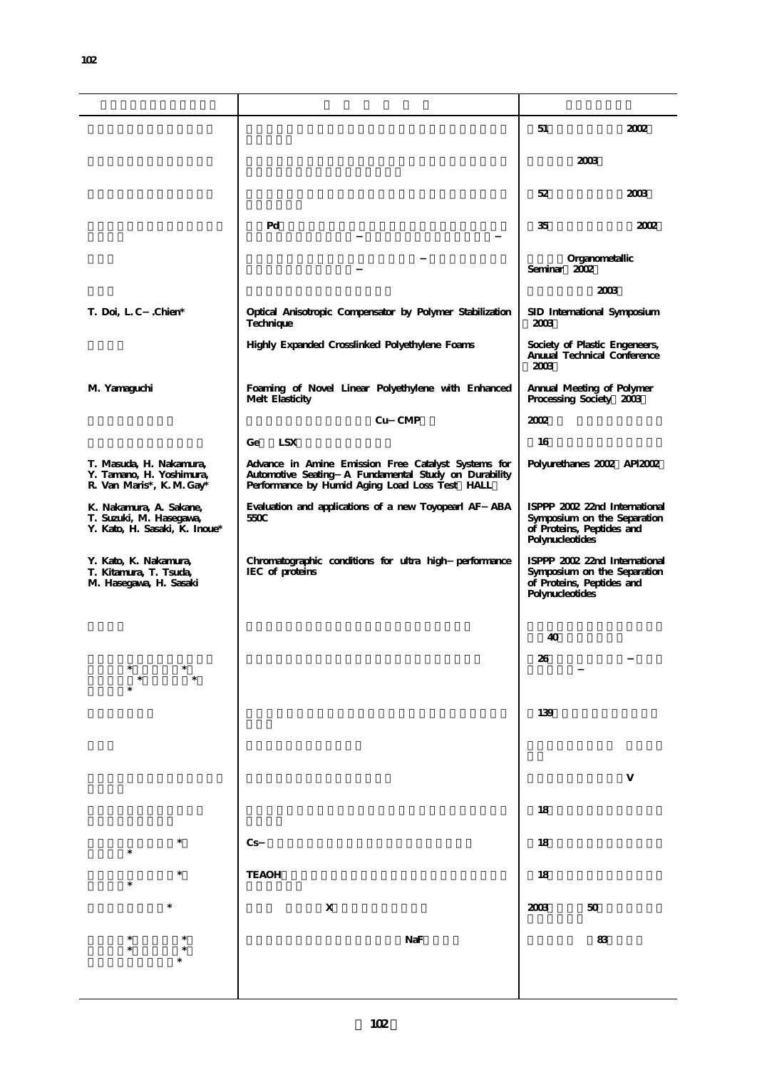|                                                                                     |                                                                                                                                                               | 51<br>2002                                                                                                   |
|-------------------------------------------------------------------------------------|---------------------------------------------------------------------------------------------------------------------------------------------------------------|--------------------------------------------------------------------------------------------------------------|
|                                                                                     |                                                                                                                                                               | 2003                                                                                                         |
|                                                                                     |                                                                                                                                                               | 52<br>2003                                                                                                   |
|                                                                                     | Pd                                                                                                                                                            | 35<br>2002                                                                                                   |
|                                                                                     |                                                                                                                                                               | Organometallic<br>Seminar 2002                                                                               |
|                                                                                     |                                                                                                                                                               | 2003                                                                                                         |
| T. Doi, L.C. Chien*                                                                 | Optical Anisotropic Compensator by Polymer Stabilization<br>Technique                                                                                         | SID International Symposium<br>2003                                                                          |
|                                                                                     | Highly Expanded Crosslinked Polyethylene Foams                                                                                                                | Society of Plastic Engeneers,<br>Anuual Technical Conference<br>2003                                         |
| M. Yamaguchi                                                                        | Foaming of Novel Linear Polyethylene with Enhanced<br>Melt Elasticity                                                                                         | Annual Meeting of Polymer<br>Processing Society 2003                                                         |
|                                                                                     | Cu CMP                                                                                                                                                        | 2002                                                                                                         |
|                                                                                     | <b>LSX</b><br>Ge                                                                                                                                              | 16                                                                                                           |
| T. Masuda, H. Nakamura,<br>Y. Tamano, H. Yoshimura,<br>R. Van Maris*, K. M. Gay*    | Advance in Amine Emission Free Catalyst Systems for<br>Automotive Seating A Fundamental Study on Durability<br>Performance by Humid Aging Load Loss Test HALL | Polyurethanes 2002 API2002                                                                                   |
| K. Nakamura, A. Sakane,<br>T. Suzuki, M. Hasegawa,<br>Y. Kato, H. Sasaki, K. Inoue* | Evaluation and applications of a new Toyopearl AF ABA<br>550C                                                                                                 | ISPPP 2002 22nd International<br>Symposium on the Separation<br>of Proteins, Peptides and<br>Polynucleotides |
| Y. Kato, K. Nakamura,<br>T. Kitamura, T. Tsuda,<br>M. Hasegawa, H. Sasaki           | Chromatographic conditions for ultra high performance<br>IEC of proteins                                                                                      | ISPPP 2002 22nd International<br>Symposium on the Separation<br>of Proteins, Peptides and<br>Polynucleotides |
|                                                                                     |                                                                                                                                                               |                                                                                                              |
|                                                                                     |                                                                                                                                                               | 40                                                                                                           |
|                                                                                     |                                                                                                                                                               | 26                                                                                                           |
|                                                                                     |                                                                                                                                                               | 139                                                                                                          |
|                                                                                     |                                                                                                                                                               |                                                                                                              |
|                                                                                     |                                                                                                                                                               |                                                                                                              |
|                                                                                     |                                                                                                                                                               | 18                                                                                                           |
|                                                                                     | Cs                                                                                                                                                            | 18                                                                                                           |
|                                                                                     | <b>TEAOH</b>                                                                                                                                                  | 18                                                                                                           |
| *                                                                                   | $\mathbf X$                                                                                                                                                   | 2003<br>$5\!\mathrm{O}$                                                                                      |
|                                                                                     | NaF                                                                                                                                                           | $8\!$                                                                                                        |
|                                                                                     |                                                                                                                                                               |                                                                                                              |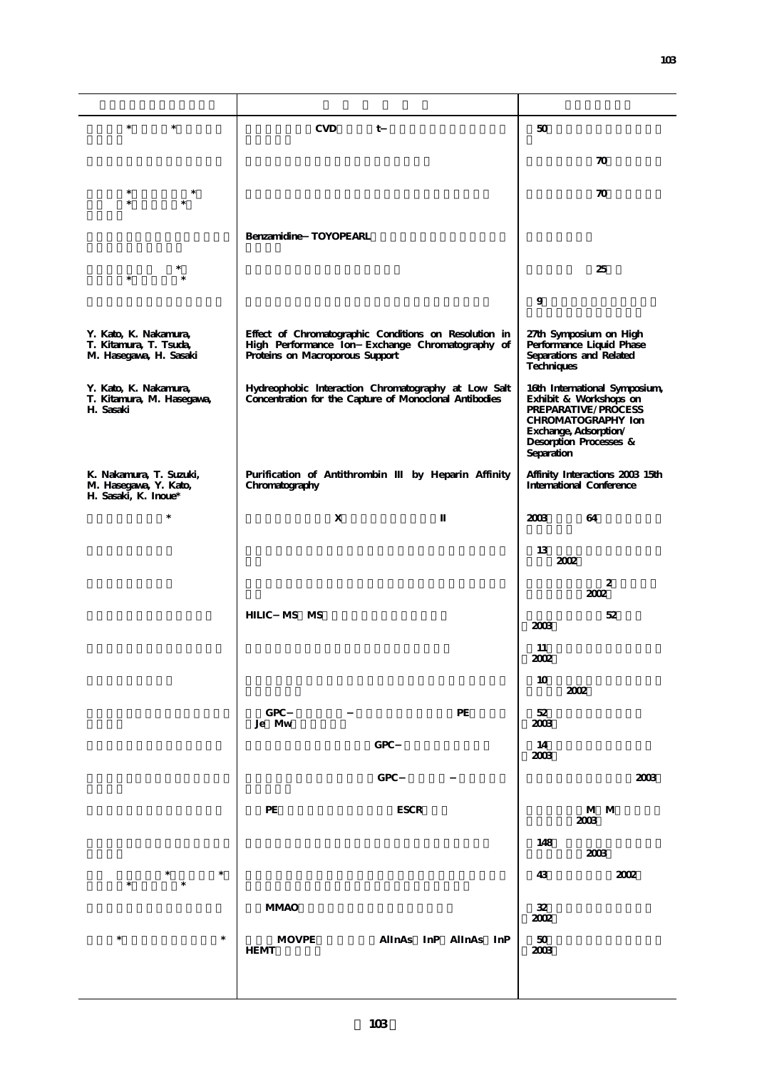| $\ast$<br>$\ast$                                                          | <b>CVD</b><br>t                                                                                                                             | 50                                                                                                                                                                    |
|---------------------------------------------------------------------------|---------------------------------------------------------------------------------------------------------------------------------------------|-----------------------------------------------------------------------------------------------------------------------------------------------------------------------|
|                                                                           |                                                                                                                                             | $\boldsymbol{\pi}$                                                                                                                                                    |
| $\ast$<br>*<br>$\ast$<br>$\ast$                                           |                                                                                                                                             | 70                                                                                                                                                                    |
|                                                                           | Benzamidine TOYOPEARL                                                                                                                       |                                                                                                                                                                       |
|                                                                           |                                                                                                                                             |                                                                                                                                                                       |
| $\ast$                                                                    |                                                                                                                                             | 25                                                                                                                                                                    |
|                                                                           |                                                                                                                                             | 9                                                                                                                                                                     |
| Y. Kato, K. Nakamura,<br>T. Kitamura, T. Tsuda,<br>M. Hasegawa, H. Sasaki | Effect of Chromatographic Conditions on Resolution in<br>High Performance Ion Exchange Chromatography of<br>Proteins on Macroporous Support | 27th Symposium on High<br>Performance Liquid Phase<br>Separations and Related<br>Techniques                                                                           |
| Y. Kato, K. Nakamura,<br>T. Kitamura, M. Hasegawa,<br>H. Sasaki           | Hydreophobic Interaction Chromatography at Low Salt<br>Concentration for the Capture of Monoclonal Antibodies                               | 16th International Symposium,<br>Exhibit & Workshops on<br>PREPARATIVE/PROCESS<br>CHROMATOGRAPHY Ion<br>Exchange, Adsorption/<br>Desorption Processes &<br>Separation |
| K. Nakamura, T. Suzuki,<br>M. Hasegawa, Y. Kato,<br>H. Sasaki, K. Inoue*  | Purification of Antithrombin<br>by Heparin Affinity<br>Chromatography                                                                       | Affinity Interactions 2003 15th<br>International Conference                                                                                                           |
| $\ast$                                                                    | X                                                                                                                                           | 2003<br>64                                                                                                                                                            |
|                                                                           |                                                                                                                                             | 13<br>2002                                                                                                                                                            |
|                                                                           |                                                                                                                                             | 2<br>2002                                                                                                                                                             |
|                                                                           | HILIC MS MS                                                                                                                                 | 52<br>2003                                                                                                                                                            |
|                                                                           |                                                                                                                                             | 11<br>2002                                                                                                                                                            |
|                                                                           |                                                                                                                                             | 10<br>2002                                                                                                                                                            |
|                                                                           | GPC<br>$\rm PE$<br>Je Mw                                                                                                                    | $5\!2$                                                                                                                                                                |
|                                                                           | ${\rm GPC}$                                                                                                                                 | 2003<br>14                                                                                                                                                            |
|                                                                           |                                                                                                                                             | 2003                                                                                                                                                                  |
|                                                                           | GPC                                                                                                                                         | 2003                                                                                                                                                                  |
|                                                                           | $\rm PE$<br>$_{\rm{ESCR}}$                                                                                                                  | M M<br>2003                                                                                                                                                           |
|                                                                           |                                                                                                                                             | 148<br>2003                                                                                                                                                           |
| $\ast$<br>$\ast$<br>$\qquad \qquad \ast$<br>$\ast$                        |                                                                                                                                             | 43<br>2002                                                                                                                                                            |
|                                                                           | <b>MMAO</b>                                                                                                                                 | ${\bf 32}$<br>2002                                                                                                                                                    |
| $\ast$<br>$\ast$                                                          | <b>MOVPE</b><br>AlInAs InP AlInAs InP<br><b>HEMT</b>                                                                                        | $50\,$<br>2003                                                                                                                                                        |
|                                                                           |                                                                                                                                             |                                                                                                                                                                       |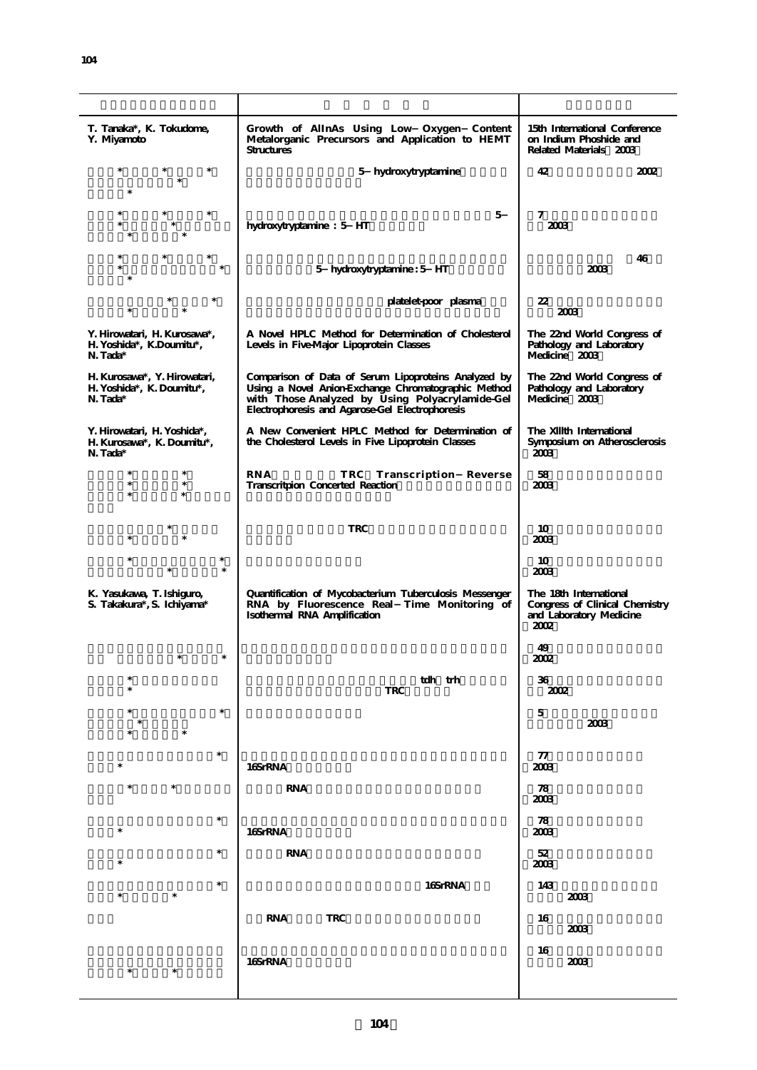| T. Tanaka*, K. Tokudome,<br>Y. Miyamoto                               | Growth of AlInAs Using Low Oxygen Content<br>Metalorganic Precursors and Application to HEMT<br><b>Structures</b>                                                                                                 | 15th International Conference<br>on Indium Phoshide and<br>Related Materials 2003           |
|-----------------------------------------------------------------------|-------------------------------------------------------------------------------------------------------------------------------------------------------------------------------------------------------------------|---------------------------------------------------------------------------------------------|
|                                                                       | 5 hydroxytryptamine                                                                                                                                                                                               | 42<br>2002                                                                                  |
|                                                                       | 5<br>hydroxytryptamine: 5 HT                                                                                                                                                                                      | 7<br>2003                                                                                   |
|                                                                       | 5 hydroxytryptamine: 5 HT                                                                                                                                                                                         | 46<br>2003                                                                                  |
|                                                                       | platelet-poor plasma                                                                                                                                                                                              | 22<br>2003                                                                                  |
| Y. Hirowatari, H. Kurosawa*,<br>H. Yoshida*, K.Doumitu*,<br>N. Tada*  | A Novel HPLC Method for Determination of Cholesterol<br>Levels in Five-Major Lipoprotein Classes                                                                                                                  | The 22nd World Congress of<br>Pathology and Laboratory<br>Medicine 2003                     |
| H. Kurosawa*, Y. Hirowatari,<br>H. Yoshida*, K. Doumitu*,<br>N. Tada* | Comparison of Data of Serum Lipoproteins Analyzed by<br>Using a Novel Anion-Exchange Chromatographic Method<br>with Those Analyzed by Using Polyacrylamide-Gel<br>Electrophoresis and Agarose-Gel Electrophoresis | The 22nd World Congress of<br>Pathology and Laboratory<br>Medicine 2003                     |
| Y. Hirowatari, H. Yoshida*,<br>H. Kurosawa*, K. Doumitu*,<br>N. Tada* | A New Convenient HPLC Method for Determination of<br>the Cholesterol Levels in Five Lipoprotein Classes                                                                                                           | The XIIIth International<br>Symposium on Atherosclerosis<br>2003                            |
| $\ast$<br>$\ast$<br>$\ast$                                            | <b>RNA</b><br>TRC Transcription Reverse<br>Transcritpion Concerted Reaction                                                                                                                                       | 58<br>2003                                                                                  |
|                                                                       | <b>TRC</b>                                                                                                                                                                                                        | 10<br>2003                                                                                  |
| $\ast$                                                                |                                                                                                                                                                                                                   | 10<br>2003                                                                                  |
| K. Yasukawa, T. Ishiguro,<br>S. Takakura*, S. Ichiyama*               | Quantification of Mycobacterium Tuberculosis Messenger<br>RNA by Fluorescence Real Time Monitoring of<br>Isothermal RNA Amplification                                                                             | The 18th International<br>Congress of Clinical Chemistry<br>and Laboratory Medicine<br>2002 |
|                                                                       |                                                                                                                                                                                                                   | 49<br>2002                                                                                  |
| $\ast$                                                                | tdh trh<br><b>TRC</b>                                                                                                                                                                                             | 36<br>2002                                                                                  |
| $\ast$                                                                |                                                                                                                                                                                                                   | 5<br>2003                                                                                   |
| $\ast$                                                                | 16SrRNA                                                                                                                                                                                                           | 77<br>2003                                                                                  |
| $\ast$                                                                | <b>RNA</b>                                                                                                                                                                                                        | 78<br>2003                                                                                  |
| $\ast$<br>$\ast$                                                      | 16SrRNA                                                                                                                                                                                                           | 78<br>2003                                                                                  |
| $\ast$                                                                | <b>RNA</b>                                                                                                                                                                                                        | 52<br>2003                                                                                  |
| $\ast$<br>$\ast$                                                      | 16SrRNA                                                                                                                                                                                                           | 143<br>2003                                                                                 |
|                                                                       | <b>TRC</b><br>RNA                                                                                                                                                                                                 | 16<br>2003                                                                                  |
| $\ast$                                                                | 16SrRNA                                                                                                                                                                                                           | 16<br>2003                                                                                  |
|                                                                       |                                                                                                                                                                                                                   |                                                                                             |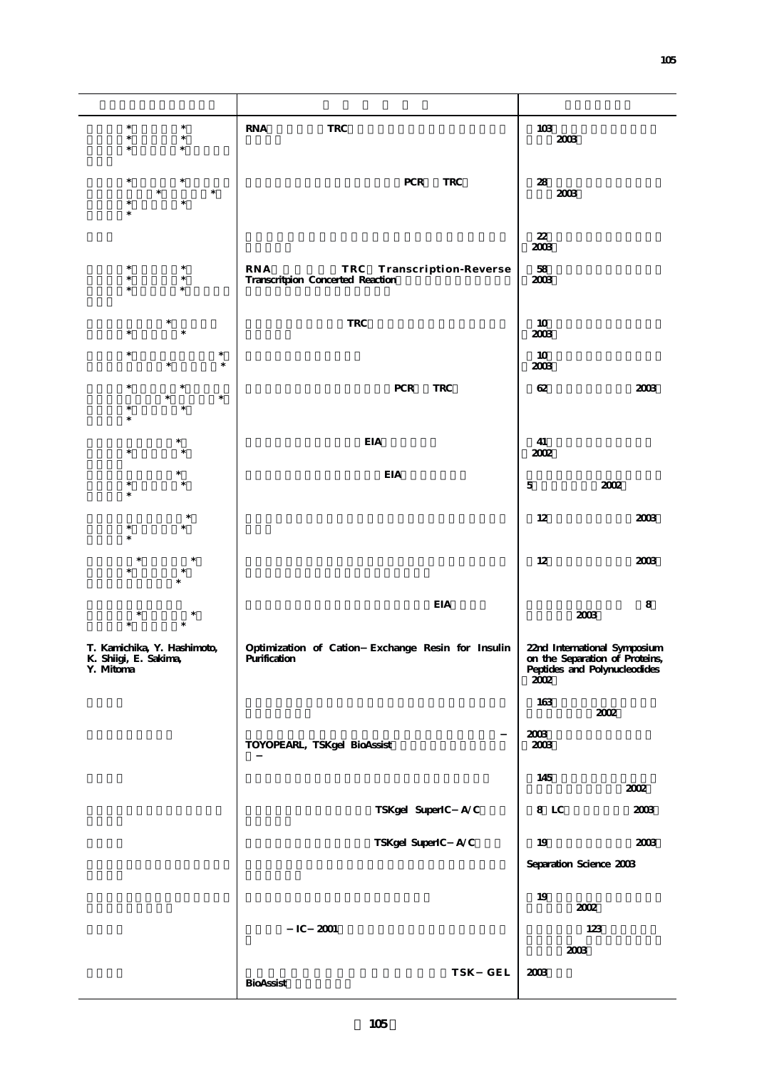| $\ast$<br>$\ast$<br>$\ast$<br>$\ast$<br>$\ast$<br>$\ast$          | $\rm{RNA}$<br><b>TRC</b>                                                | $103\,$<br>$2003\,$                                                                                    |
|-------------------------------------------------------------------|-------------------------------------------------------------------------|--------------------------------------------------------------------------------------------------------|
| $\ast$<br>*<br>$\ast$                                             | ${\mbox{PCR}}$<br>$\ensuremath{\mathsf{TRC}}$                           | 28<br>$2003$                                                                                           |
|                                                                   |                                                                         | $22\,$<br>2003                                                                                         |
|                                                                   | RNA<br>TRC<br>Transcription-Reverse<br>Transcritpion Concerted Reaction | $5\!8$<br>2003                                                                                         |
| $\ast$                                                            | $\ensuremath{\mathsf{TRC}}$                                             | 10<br>2003                                                                                             |
| $\ast$<br>$\ast$                                                  |                                                                         | 10<br>2003                                                                                             |
| $\ast$<br>$\ast$<br>$\ast$                                        | ${\mbox{PCR}}$<br><b>TRC</b>                                            | $62\,$<br>$2003\,$                                                                                     |
|                                                                   | $\rm EIA$                                                               | 41<br>2002                                                                                             |
|                                                                   | <b>EIA</b>                                                              | $\mathbf 5$<br>$2002\,$                                                                                |
|                                                                   |                                                                         | 12<br>2003                                                                                             |
|                                                                   |                                                                         | 12<br>2003                                                                                             |
|                                                                   | <b>EIA</b>                                                              | 8<br>$2003\,$                                                                                          |
| T. Kamichika, Y. Hashimoto,<br>K. Shiigi, E. Sakima,<br>Y. Mitoma | Optimization of Cation Exchange Resin for Insulin<br>Purification       | 22nd International Symposium<br>on the Separation of Proteins,<br>Peptides and Polynucleodides<br>2002 |
|                                                                   |                                                                         | 163<br>$2002\,$                                                                                        |
|                                                                   | TOYOPEARL, TSKgel BioAssist                                             | 2003<br>$2003\,$                                                                                       |
|                                                                   |                                                                         | 145<br>2002                                                                                            |
|                                                                   | TSKgel SuperIC A/C                                                      | 8 LC<br>$2003\,$                                                                                       |
|                                                                   | TSKgel SuperIC A/C                                                      | 19<br>2003                                                                                             |
|                                                                   |                                                                         | Separation Science 2003                                                                                |
|                                                                   |                                                                         | 19<br>2002                                                                                             |
|                                                                   | $IC$ 2001                                                               | 123                                                                                                    |
|                                                                   |                                                                         | $2003\,$                                                                                               |
|                                                                   | TSK GEL<br>BioAssist                                                    | $2003$                                                                                                 |